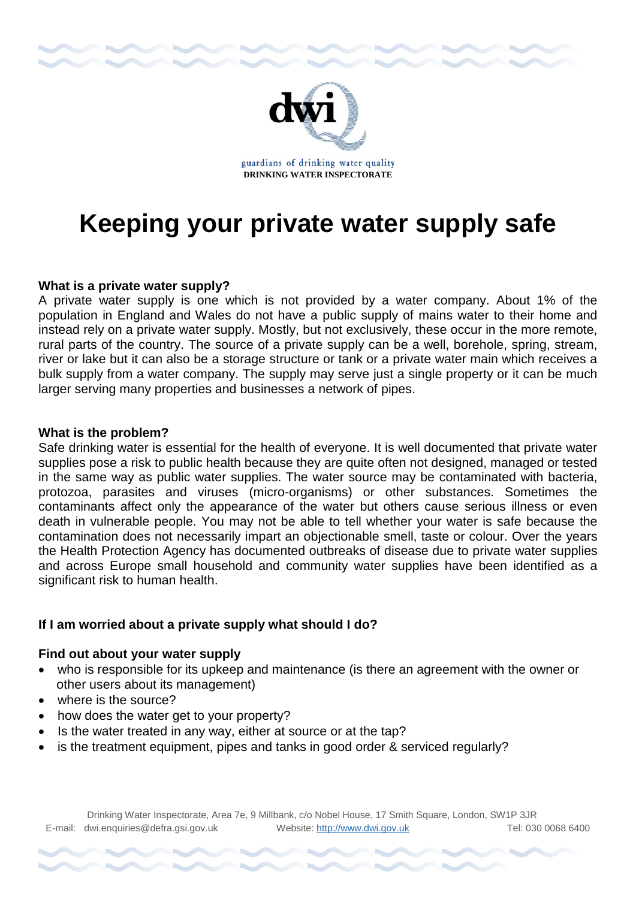

# **Keeping your private water supply safe**

# **What is a private water supply?**

A private water supply is one which is not provided by a water company. About 1% of the population in England and Wales do not have a public supply of mains water to their home and instead rely on a private water supply. Mostly, but not exclusively, these occur in the more remote, rural parts of the country. The source of a private supply can be a well, borehole, spring, stream, river or lake but it can also be a storage structure or tank or a private water main which receives a bulk supply from a water company. The supply may serve just a single property or it can be much larger serving many properties and businesses a network of pipes.

# **What is the problem?**

Safe drinking water is essential for the health of everyone. It is well documented that private water supplies pose a risk to public health because they are quite often not designed, managed or tested in the same way as public water supplies. The water source may be contaminated with bacteria, protozoa, parasites and viruses (micro-organisms) or other substances. Sometimes the contaminants affect only the appearance of the water but others cause serious illness or even death in vulnerable people. You may not be able to tell whether your water is safe because the contamination does not necessarily impart an objectionable smell, taste or colour. Over the years the Health Protection Agency has documented outbreaks of disease due to private water supplies and across Europe small household and community water supplies have been identified as a significant risk to human health.

# **If I am worried about a private supply what should I do?**

# **Find out about your water supply**

- who is responsible for its upkeep and maintenance (is there an agreement with the owner or other users about its management)
- where is the source?
- how does the water get to your property?
- Is the water treated in any way, either at source or at the tap?
- is the treatment equipment, pipes and tanks in good order & serviced regularly?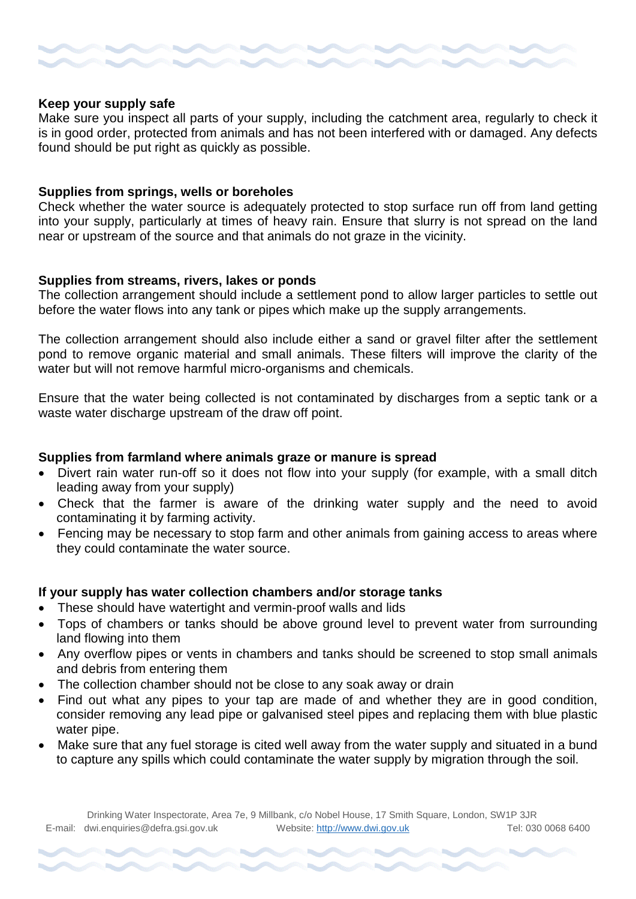#### **Keep your supply safe**

Make sure you inspect all parts of your supply, including the catchment area, regularly to check it is in good order, protected from animals and has not been interfered with or damaged. Any defects found should be put right as quickly as possible.

#### **Supplies from springs, wells or boreholes**

Check whether the water source is adequately protected to stop surface run off from land getting into your supply, particularly at times of heavy rain. Ensure that slurry is not spread on the land near or upstream of the source and that animals do not graze in the vicinity.

#### **Supplies from streams, rivers, lakes or ponds**

The collection arrangement should include a settlement pond to allow larger particles to settle out before the water flows into any tank or pipes which make up the supply arrangements.

The collection arrangement should also include either a sand or gravel filter after the settlement pond to remove organic material and small animals. These filters will improve the clarity of the water but will not remove harmful micro-organisms and chemicals.

Ensure that the water being collected is not contaminated by discharges from a septic tank or a waste water discharge upstream of the draw off point.

#### **Supplies from farmland where animals graze or manure is spread**

- Divert rain water run-off so it does not flow into your supply (for example, with a small ditch leading away from your supply)
- Check that the farmer is aware of the drinking water supply and the need to avoid contaminating it by farming activity.
- Fencing may be necessary to stop farm and other animals from gaining access to areas where they could contaminate the water source.

#### **If your supply has water collection chambers and/or storage tanks**

- These should have watertight and vermin-proof walls and lids
- Tops of chambers or tanks should be above ground level to prevent water from surrounding land flowing into them
- Any overflow pipes or vents in chambers and tanks should be screened to stop small animals and debris from entering them
- The collection chamber should not be close to any soak away or drain
- Find out what any pipes to your tap are made of and whether they are in good condition, consider removing any lead pipe or galvanised steel pipes and replacing them with blue plastic water pipe.
- Make sure that any fuel storage is cited well away from the water supply and situated in a bund to capture any spills which could contaminate the water supply by migration through the soil.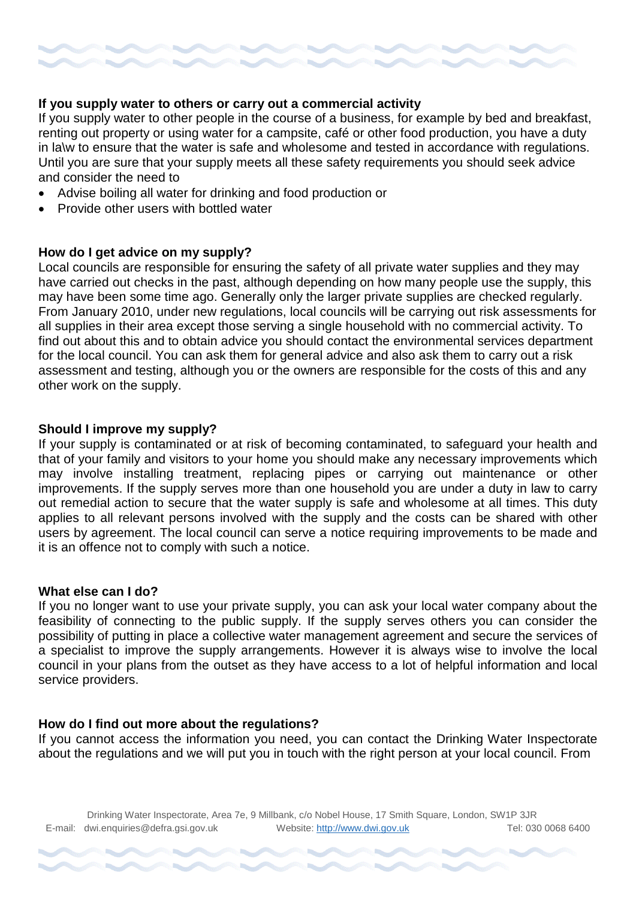

# **If you supply water to others or carry out a commercial activity**

If you supply water to other people in the course of a business, for example by bed and breakfast, renting out property or using water for a campsite, café or other food production, you have a duty in la\w to ensure that the water is safe and wholesome and tested in accordance with regulations. Until you are sure that your supply meets all these safety requirements you should seek advice and consider the need to

- Advise boiling all water for drinking and food production or
- Provide other users with bottled water

# **How do I get advice on my supply?**

Local councils are responsible for ensuring the safety of all private water supplies and they may have carried out checks in the past, although depending on how many people use the supply, this may have been some time ago. Generally only the larger private supplies are checked regularly. From January 2010, under new regulations, local councils will be carrying out risk assessments for all supplies in their area except those serving a single household with no commercial activity. To find out about this and to obtain advice you should contact the environmental services department for the local council. You can ask them for general advice and also ask them to carry out a risk assessment and testing, although you or the owners are responsible for the costs of this and any other work on the supply.

#### **Should I improve my supply?**

If your supply is contaminated or at risk of becoming contaminated, to safeguard your health and that of your family and visitors to your home you should make any necessary improvements which may involve installing treatment, replacing pipes or carrying out maintenance or other improvements. If the supply serves more than one household you are under a duty in law to carry out remedial action to secure that the water supply is safe and wholesome at all times. This duty applies to all relevant persons involved with the supply and the costs can be shared with other users by agreement. The local council can serve a notice requiring improvements to be made and it is an offence not to comply with such a notice.

#### **What else can I do?**

If you no longer want to use your private supply, you can ask your local water company about the feasibility of connecting to the public supply. If the supply serves others you can consider the possibility of putting in place a collective water management agreement and secure the services of a specialist to improve the supply arrangements. However it is always wise to involve the local council in your plans from the outset as they have access to a lot of helpful information and local service providers.

#### **How do I find out more about the regulations?**

If you cannot access the information you need, you can contact the Drinking Water Inspectorate about the regulations and we will put you in touch with the right person at your local council. From